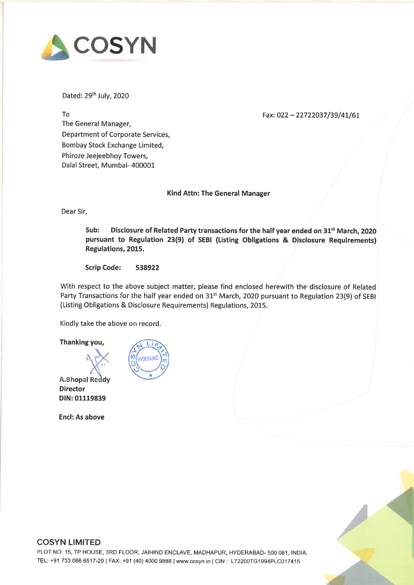

Dated: 29th July, <sup>2020</sup>

#### Fax: 022 - 22722037 /39/41/61

To The General Manager, Department of Corporate Services, Bombay Stock Exchange Limited, Phiroze Jeejeebhoy Towers, Dalal Street, Mumbai- <sup>400001</sup>

Kind Attn: The General Manager

Dear Sir,

Sub: Disclosure of Related Party transactions for the half year ended on 31<sup>st</sup> March, 2020 pursuan<sup>t</sup> to Regulation 23(9) of SEBI (Listing Obligations & Disclosure Requirements} Regulations, 2015.

Scrip Code: <sup>538922</sup>

With respec<sup>t</sup> to the above subject matter, <sup>p</sup>lease find enclosed herewith the disclosure of Related Party Transactions for the half year ended on 31<sup>st</sup> March, 2020 pursuant to Regulation 23(9) of SEBI (Listing Obligations & Disclosure Requirements) Regulations, 2015.

Kindly take the above on record.

Thanking you,

Director DIN: 01119839

Encl: As above





### COSYN LIMITED

PLOT NO: 15, TP HOUSE, 3RD FLOOR, JAIHIND ENCLAVE, MADHAPUR, HYDERABAD- <sup>500</sup> 081, INDIA. TEL: +91 733 066 6517-20 | FAX: +91 (40) 4000 9888 | www.cosyn.in | CIN: L72200TG1994PLC017415